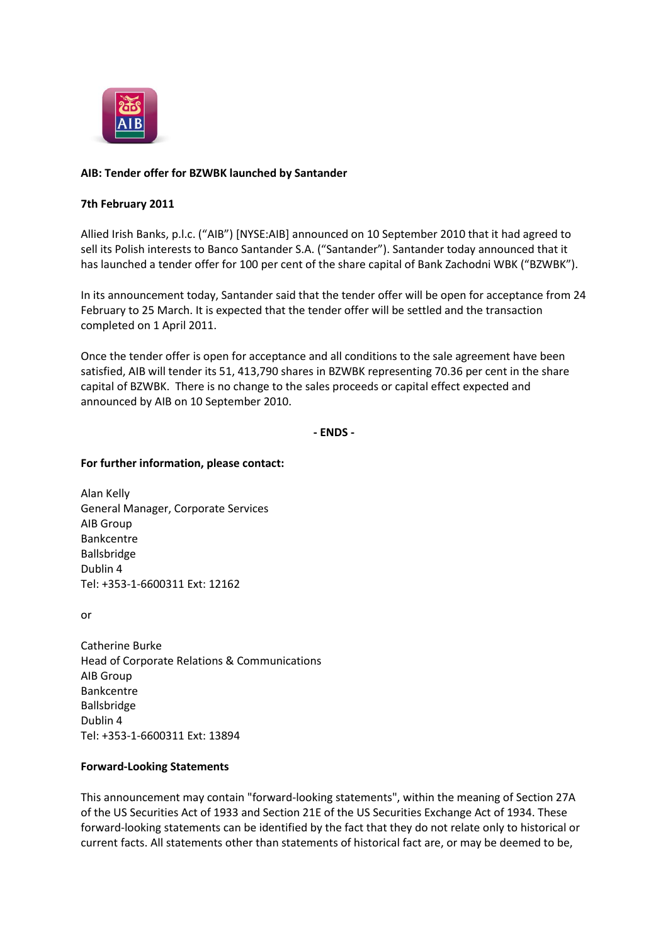

# **AIB: Tender offer for BZWBK launched by Santander**

## **7th February 2011**

Allied Irish Banks, p.l.c. ("AIB") [NYSE:AIB] announced on 10 September 2010 that it had agreed to sell its Polish interests to Banco Santander S.A. ("Santander"). Santander today announced that it has launched a tender offer for 100 per cent of the share capital of Bank Zachodni WBK ("BZWBK").

In its announcement today, Santander said that the tender offer will be open for acceptance from 24 February to 25 March. It is expected that the tender offer will be settled and the transaction completed on 1 April 2011.

Once the tender offer is open for acceptance and all conditions to the sale agreement have been satisfied, AIB will tender its 51, 413,790 shares in BZWBK representing 70.36 per cent in the share capital of BZWBK. There is no change to the sales proceeds or capital effect expected and announced by AIB on 10 September 2010.

### **- ENDS -**

### **For further information, please contact:**

Alan Kelly General Manager, Corporate Services AIB Group Bankcentre Ballsbridge Dublin 4 Tel: +353-1-6600311 Ext: 12162

or

Catherine Burke Head of Corporate Relations & Communications AIB Group Bankcentre Ballsbridge Dublin 4 Tel: +353-1-6600311 Ext: 13894

## **Forward-Looking Statements**

This announcement may contain "forward-looking statements", within the meaning of Section 27A of the US Securities Act of 1933 and Section 21E of the US Securities Exchange Act of 1934. These forward-looking statements can be identified by the fact that they do not relate only to historical or current facts. All statements other than statements of historical fact are, or may be deemed to be,